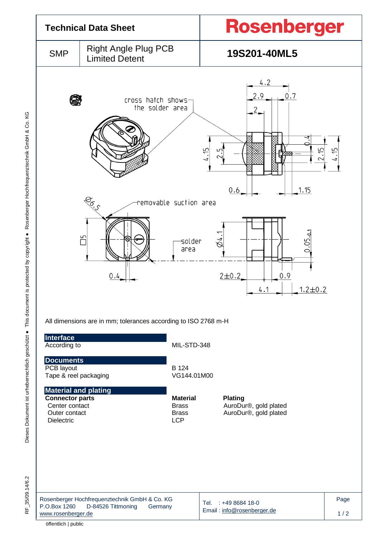

RF 35/09.14/6.2